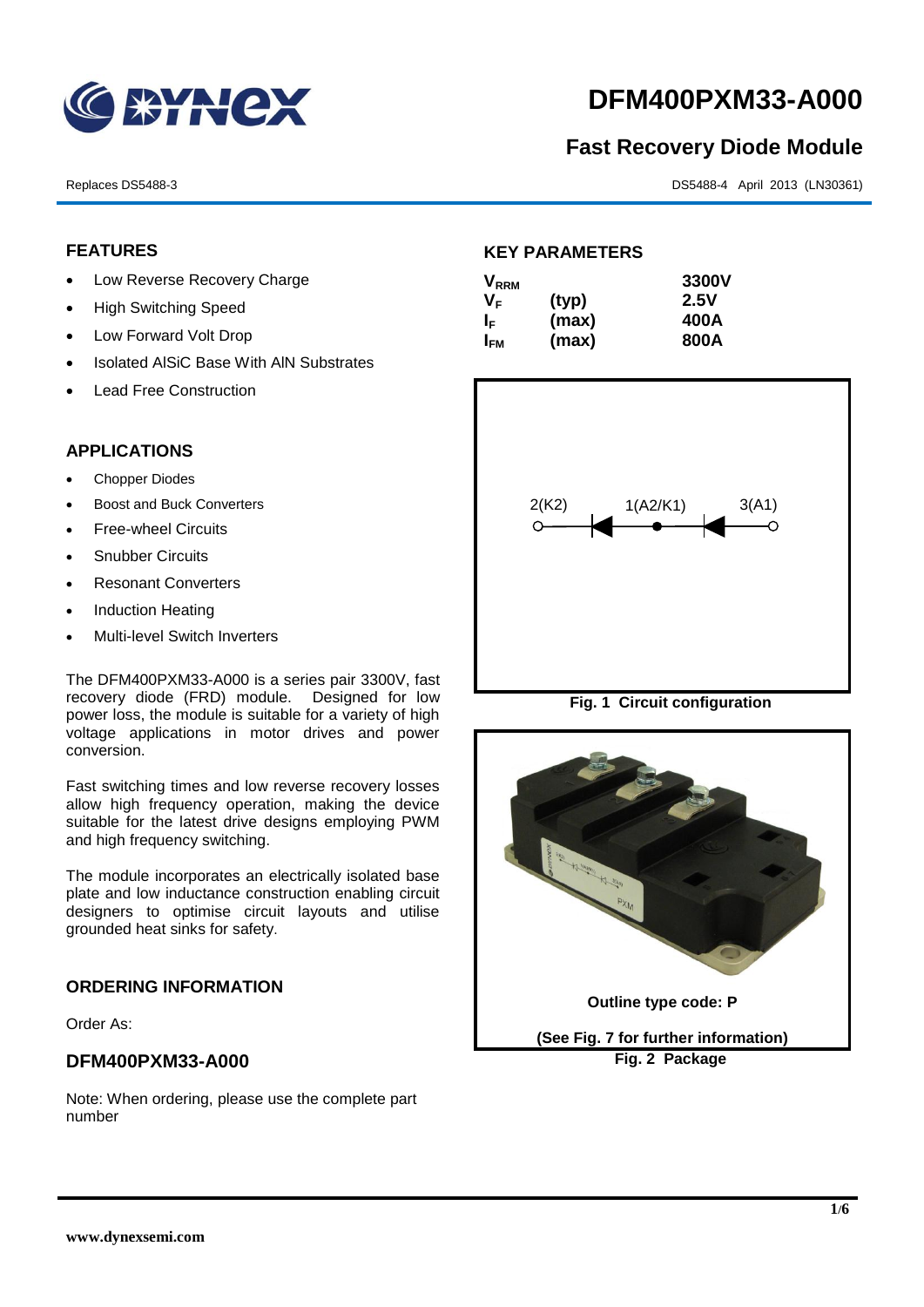

# **DFM400PXM33-A000**

## **Fast Recovery Diode Module**

Replaces DS5488-3 DS5488-4 April 2013 (LN30361)

#### **FEATURES**

- Low Reverse Recovery Charge
- High Switching Speed
- Low Forward Volt Drop
- Isolated AISiC Base With AIN Substrates
- Lead Free Construction

#### **APPLICATIONS**

- Chopper Diodes
- Boost and Buck Converters
- Free-wheel Circuits
- Snubber Circuits
- Resonant Converters
- Induction Heating
- Multi-level Switch Inverters

The DFM400PXM33-A000 is a series pair 3300V, fast recovery diode (FRD) module. Designed for low power loss, the module is suitable for a variety of high voltage applications in motor drives and power conversion.

Fast switching times and low reverse recovery losses allow high frequency operation, making the device suitable for the latest drive designs employing PWM and high frequency switching.

The module incorporates an electrically isolated base plate and low inductance construction enabling circuit designers to optimise circuit layouts and utilise grounded heat sinks for safety.

### **ORDERING INFORMATION**

Order As:

#### **DFM400PXM33-A000**

Note: When ordering, please use the complete part number

#### **KEY PARAMETERS**

| $\mathsf{V}_{\mathsf{RRM}}$ |       | 3300V |
|-----------------------------|-------|-------|
| Vғ                          | (typ) | 2.5V  |
| IF.                         | (max) | 400A  |
| I <sub>FМ</sub>             | (max) | 800A  |



**Fig. 1 Circuit configuration**

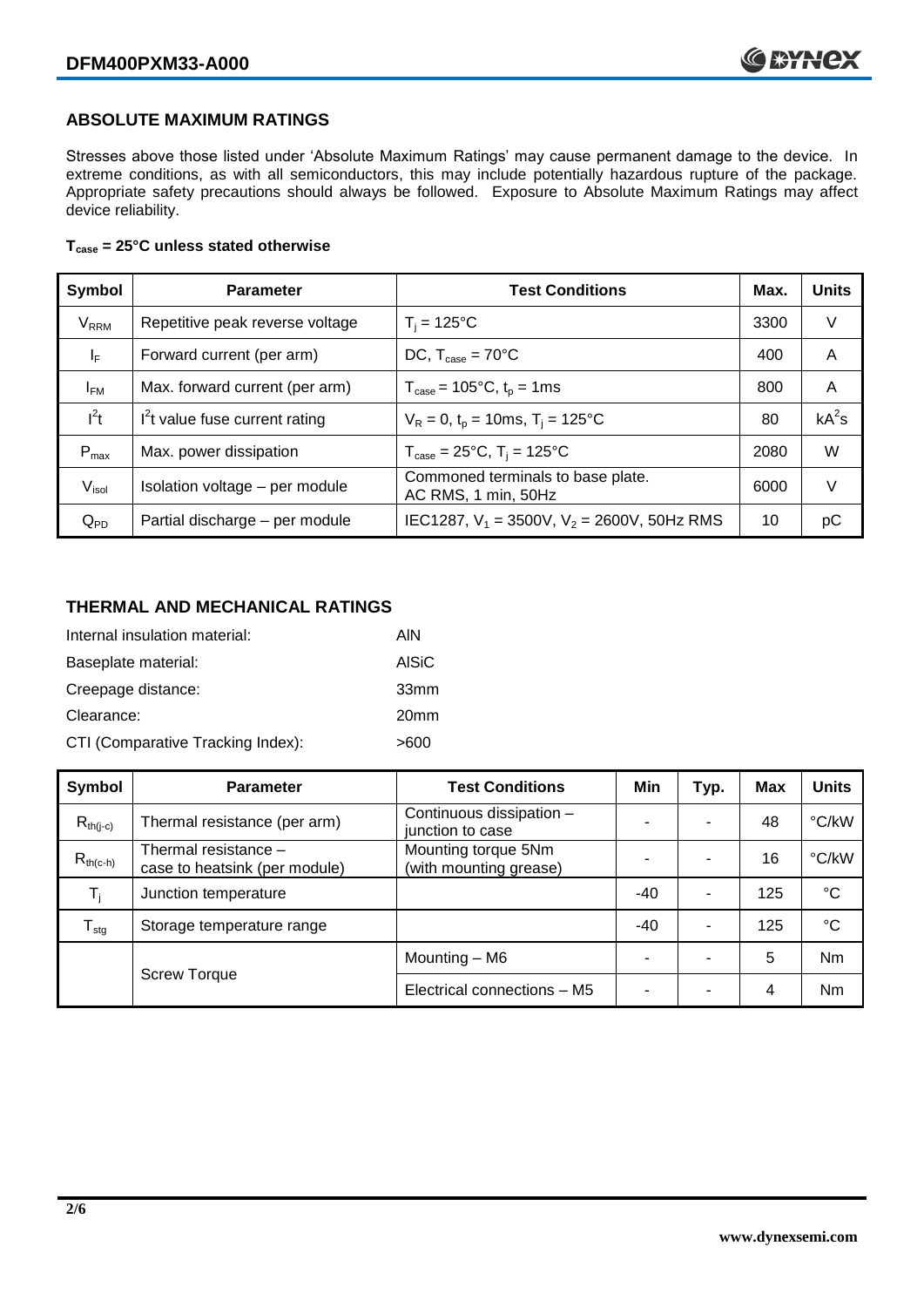#### **ABSOLUTE MAXIMUM RATINGS**

Stresses above those listed under 'Absolute Maximum Ratings' may cause permanent damage to the device. In extreme conditions, as with all semiconductors, this may include potentially hazardous rupture of the package. Appropriate safety precautions should always be followed. Exposure to Absolute Maximum Ratings may affect device reliability.

#### **Tcase = 25°C unless stated otherwise**

| Symbol                 | <b>Parameter</b>                | <b>Test Conditions</b>                                                     | Max. | <b>Units</b> |
|------------------------|---------------------------------|----------------------------------------------------------------------------|------|--------------|
| <b>V<sub>RRM</sub></b> | Repetitive peak reverse voltage | $T_i = 125$ °C                                                             | 3300 | V            |
| ΙF                     | Forward current (per arm)       | DC, $T_{\text{case}} = 70^{\circ}$ C                                       | 400  | A            |
| $I_{FM}$               | Max. forward current (per arm)  | $T_{\text{case}} = 105^{\circ}C, t_{p} = 1ms$                              | 800  | A            |
| $I^2t$                 | $I2t$ value fuse current rating | $V_R = 0$ , $t_p = 10$ ms, $T_i = 125$ °C                                  | 80   | $kA^2s$      |
| $P_{max}$              | Max. power dissipation          | $T_{\text{case}} = 25^{\circ}\text{C}, T_{\text{i}} = 125^{\circ}\text{C}$ | 2080 | W            |
| V <sub>isol</sub>      | Isolation voltage - per module  | Commoned terminals to base plate.<br>AC RMS, 1 min, 50Hz                   | 6000 | V            |
| $Q_{PD}$               | Partial discharge - per module  | IEC1287, $V_1$ = 3500V, $V_2$ = 2600V, 50Hz RMS                            | 10   | рC           |

#### **THERMAL AND MECHANICAL RATINGS**

| Internal insulation material:     | AIN              |
|-----------------------------------|------------------|
| Baseplate material:               | <b>AISiC</b>     |
| Creepage distance:                | 33 <sub>mm</sub> |
| Clearance:                        | 20 <sub>mm</sub> |
| CTI (Comparative Tracking Index): | >600             |

| Symbol           | <b>Parameter</b>                                      | <b>Test Conditions</b>                        | Min   | Typ.                     | <b>Max</b> | <b>Units</b> |
|------------------|-------------------------------------------------------|-----------------------------------------------|-------|--------------------------|------------|--------------|
| $R_{th(i-c)}$    | Thermal resistance (per arm)                          | Continuous dissipation -<br>junction to case  | -     | $\overline{\phantom{0}}$ | 48         | °C/kW        |
| $R_{th(c-h)}$    | Thermal resistance -<br>case to heatsink (per module) | Mounting torque 5Nm<br>(with mounting grease) |       |                          | 16         | °C/kW        |
| T,               | Junction temperature                                  |                                               | $-40$ | $\overline{\phantom{0}}$ | 125        | $^{\circ}C$  |
| $T_{\text{stg}}$ | Storage temperature range                             |                                               | $-40$ | $\overline{\phantom{0}}$ | 125        | °C           |
|                  |                                                       | Mounting – M6                                 | -     |                          | 5          | Nm           |
|                  | <b>Screw Torque</b>                                   | Electrical connections - M5                   | -     | -                        | 4          | Nm           |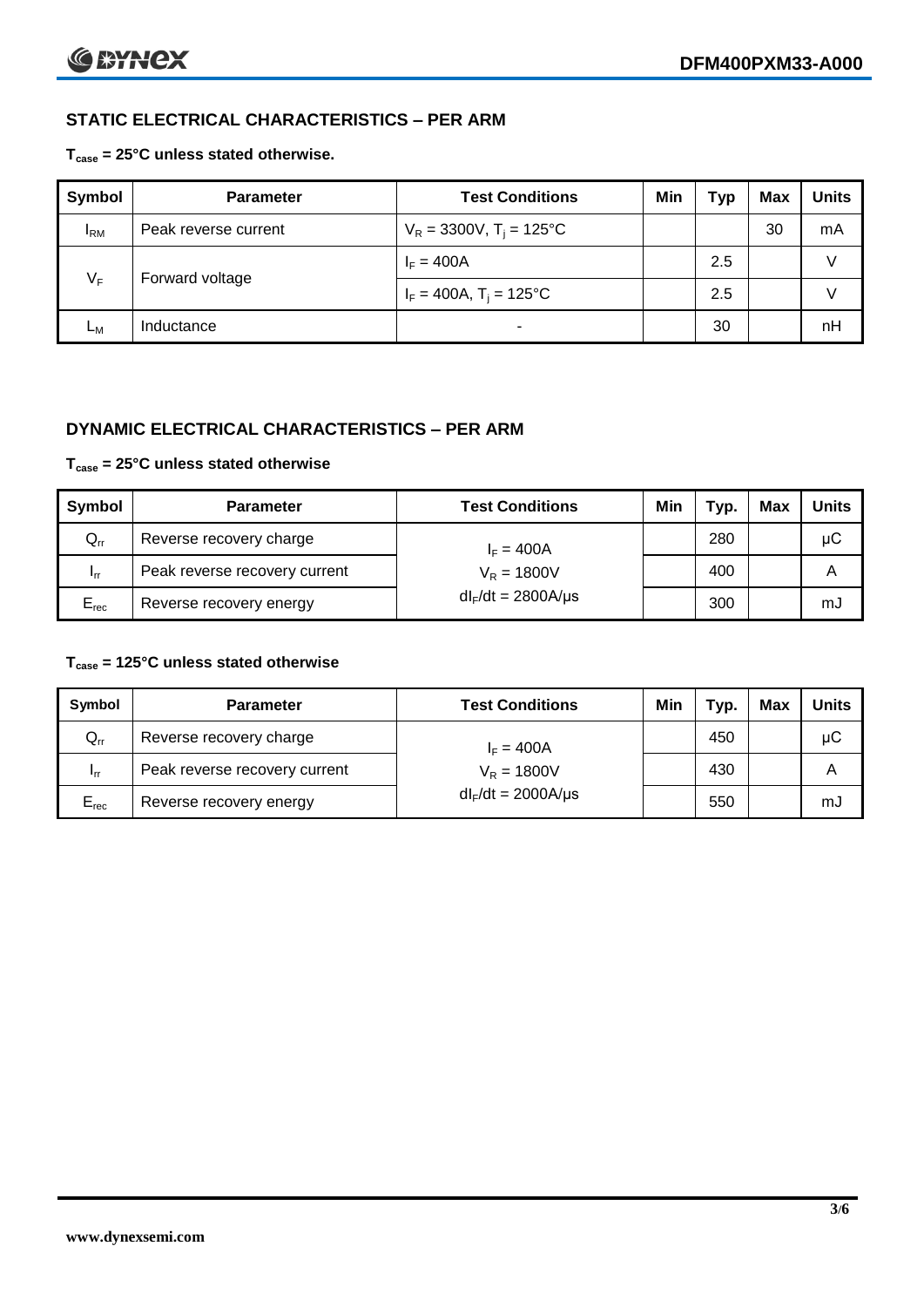### **STATIC ELECTRICAL CHARACTERISTICS – PER ARM**

#### **Tcase = 25°C unless stated otherwise.**

| <b>Symbol</b> | <b>Parameter</b>     | <b>Test Conditions</b>                 | Min | Тур | <b>Max</b> | <b>Units</b> |
|---------------|----------------------|----------------------------------------|-----|-----|------------|--------------|
| $I_{\rm RM}$  | Peak reverse current | $V_R = 3300V$ , T <sub>i</sub> = 125°C |     |     | 30         | mA           |
| $V_F$         | Forward voltage      | $I_F = 400A$                           |     | 2.5 |            | v            |
|               |                      | $I_F = 400A$ , $T_i = 125^{\circ}C$    |     | 2.5 |            |              |
| Lм            | Inductance           | -                                      |     | 30  |            | nH           |

#### **DYNAMIC ELECTRICAL CHARACTERISTICS – PER ARM**

#### **Tcase = 25°C unless stated otherwise**

| Symbol          | <b>Parameter</b>              | <b>Test Conditions</b>  | Min | Typ. | Max | Units |
|-----------------|-------------------------------|-------------------------|-----|------|-----|-------|
| $Q_{rr}$        | Reverse recovery charge       | $I_F = 400A$            |     | 280  |     | μC    |
| 1 <sub>rr</sub> | Peak reverse recovery current | $V_R = 1800V$           |     | 400  |     | A     |
| $E_{rec}$       | Reverse recovery energy       | $dl_F/dt = 2800A/\mu s$ |     | 300  |     | mJ    |

#### **Tcase = 125°C unless stated otherwise**

| Symbol                     | <b>Parameter</b>                        | <b>Test Conditions</b>  | Min | Typ. | Max | Units |
|----------------------------|-----------------------------------------|-------------------------|-----|------|-----|-------|
| $\mathsf{Q}_{\mathsf{rr}}$ | Reverse recovery charge<br>$I_F = 400A$ |                         |     | 450  |     | μC    |
| - Irr                      | Peak reverse recovery current           | $V_R = 1800V$           |     | 430  |     | Α     |
| $E_{rec}$                  | Reverse recovery energy                 | $dl_F/dt = 2000A/\mu s$ |     | 550  |     | mJ    |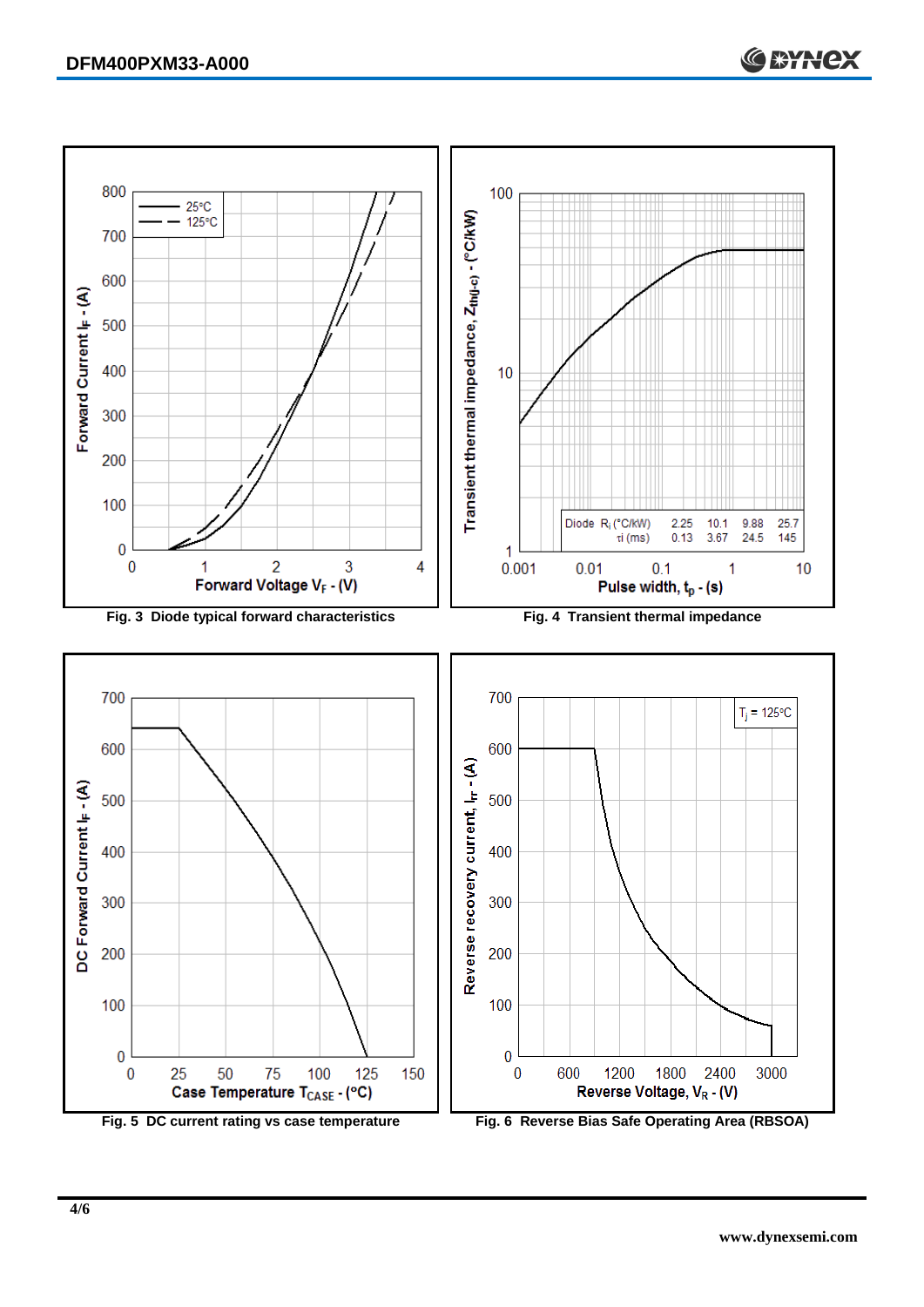

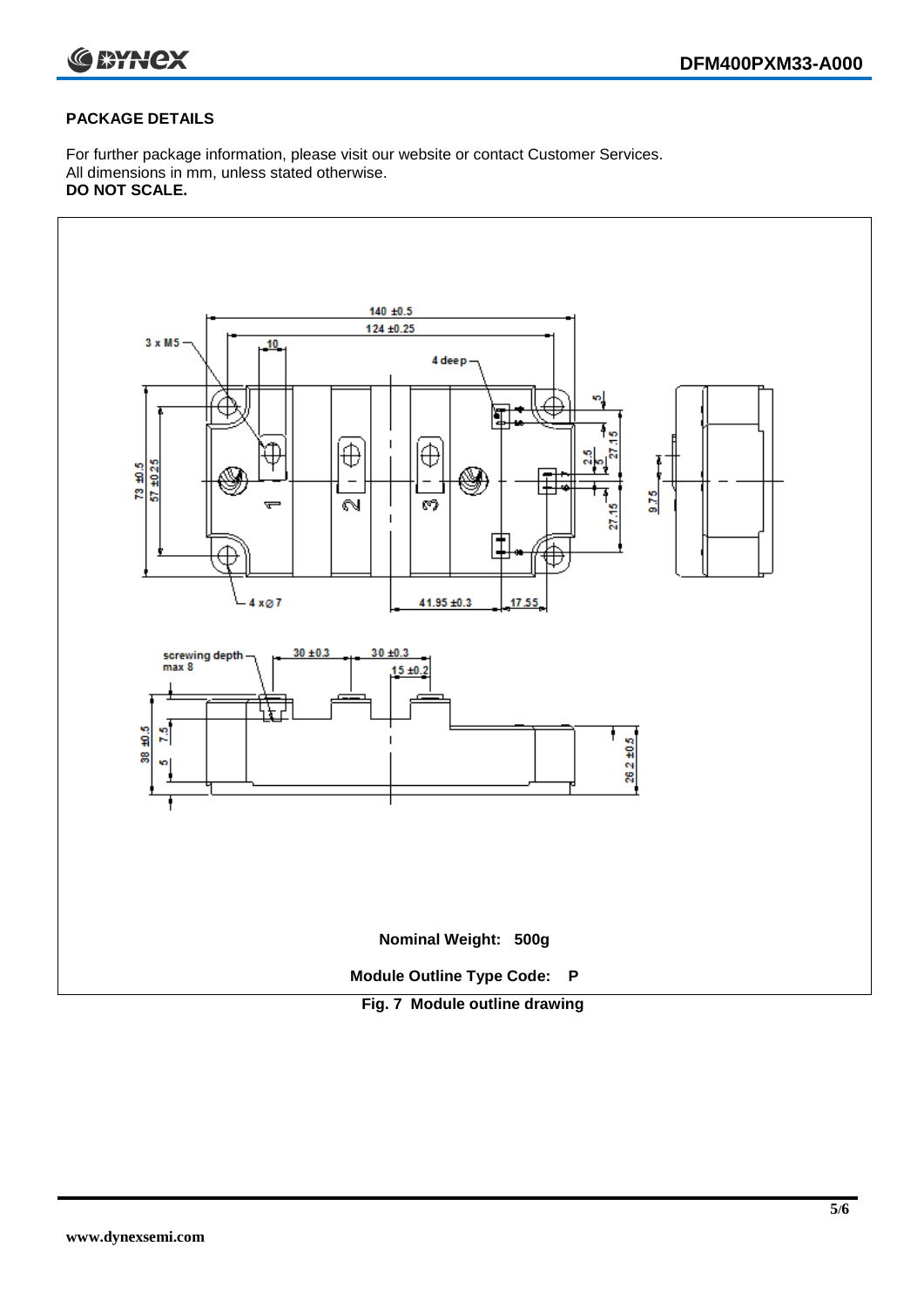

#### **PACKAGE DETAILS**

For further package information, please visit our website or contact Customer Services. All dimensions in mm, unless stated otherwise. **DO NOT SCALE.**